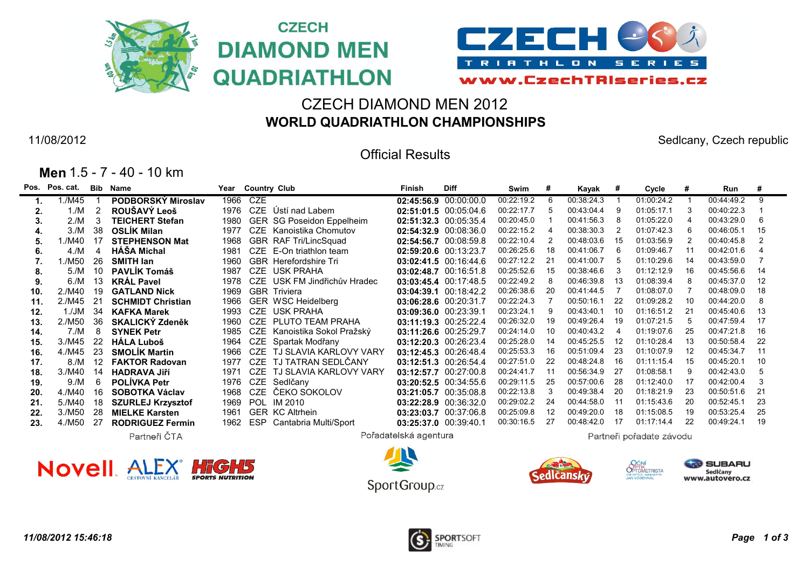



## CZECH DIAMOND MEN 2012 **WORLD QUADRIATHLON CHAMPIONSHIPS**

**CZECH** 

11/08/2012 Sedlcany, Czech republic

SERIES

### Official Results

|  |  |  | Men 1.5 - 7 - 40 - 10 km |  |  |  |
|--|--|--|--------------------------|--|--|--|
|--|--|--|--------------------------|--|--|--|

|     | Pos. Pos. cat. | Bib | Name                     | Year |            | <b>Country Club</b>       | Finish                | <b>Diff</b>           | Swim       | #  | Kayak      | #   | Cycle                    | #  | Run        | #  |
|-----|----------------|-----|--------------------------|------|------------|---------------------------|-----------------------|-----------------------|------------|----|------------|-----|--------------------------|----|------------|----|
|     | 1./M45         |     | PODBORSKÝ Miroslav       | 1966 | CZE        |                           |                       | 02:45:56.9 00:00:00.0 | 00:22:19.2 | 6  | 00:38:24.3 |     | 01:00:24.2               |    | 00:44:49.2 | 9  |
| 2.  | 1./M           | 2   | ROUŠAVÝ Leoš             | 1976 | <b>CZE</b> | Ústí nad Labem            |                       | 02:51:01.5 00:05:04.6 | 00:22:17.7 | 5  | 00:43:04.4 |     | 01:05:17.1               |    | 00:40:22.3 |    |
| 3.  | 2./M           | 3   | <b>TEICHERT Stefan</b>   | 1980 | <b>GER</b> | SG Poseidon Eppelheim     |                       | 02:51:32.3 00:05:35.4 | 00:20:45.0 |    | 00:41:56.3 |     | 01:05:22.0               |    | 00:43:29.0 | 6  |
|     | 3./M           | 38  | <b>OSLÍK Milan</b>       | 1977 | CZE        | Kanoistika Chomutov       |                       | 02:54:32.9 00:08:36.0 | 00:22:15.2 |    | 00:38:30.3 |     | 01:07:42.3               |    | 00:46:05.1 | 15 |
| 5.  | 1./M40         | 17  | <b>STEPHENSON Mat</b>    | 1968 | <b>GBR</b> | <b>RAF Tri/LincSquad</b>  |                       | 02:54:56.7 00:08:59.8 | 00:22:10.4 | 2  | 00:48:03.6 | 15  | 01:03:56.9               |    | 00:40:45.8 |    |
| 6.  | 4/M            |     | <b>HÁŠA Michal</b>       | 1981 | <b>CZE</b> | E-On triathlon team       |                       | 02:59:20.6 00:13:23.7 | 00:26:25.6 | 18 | 00:41:06.7 |     | 01:09:46.7               |    | 00:42:01.6 |    |
|     | 1./M50         | 26  | <b>SMITH lan</b>         | 1960 | <b>GBR</b> | Herefordshire Tri         |                       | 03:02:41.5 00:16:44.6 | 00:27:12.2 | 21 | 00:41:00.7 |     | 01:10:29.6               | 14 | 00:43:59.0 |    |
| 8.  | 5/M            | 10  | <b>PAVLIK Tomáš</b>      | 1987 | CZE        | <b>USK PRAHA</b>          |                       | 03:02:48.7 00:16:51.8 | 00:25:52.6 | 15 | 00:38:46.6 |     | 01:12:12.9               | 16 | 00:45:56.6 | 14 |
|     | 6./M           | 13  | <b>KRAL Pavel</b>        | 1978 | CZE        | USK FM Jindřichův Hradec  |                       | 03:03:45.4 00:17:48.5 | 00:22:49.2 | 8  | 00:46:39.8 | 13  | 01:08:39.4               |    | 00:45:37.0 | 12 |
| 10. | 2./M40         | 19  | <b>GATLAND Nick</b>      | 1969 |            | <b>GBR</b> Triviera       |                       | 03:04:39.1 00:18:42.2 | 00:26:38.6 | 20 | 00:41:44.5 |     | 01:08:07.0               |    | 00:48:09.0 | 18 |
| 11. | 2./M45         | 21  | <b>SCHMIDT Christian</b> | 1966 |            | <b>GER WSC Heidelberg</b> |                       | 03:06:28.6 00:20:31.7 | 00:22:24.3 |    | 00:50:16.1 | 22  | 01:09:28.2               | 10 | 00:44:20.0 |    |
| 12. | 1./JM          | 34  | <b>KAFKA Marek</b>       | 1993 | CZE        | <b>USK PRAHA</b>          |                       | 03:09:36.0 00:23:39.1 | 00:23:24.1 | 9  | 00:43:40.1 | 10  | 01:16:51.2               | 21 | 00:45:40.6 | 13 |
| 13. | 2./M50         | 36  | <b>SKALICKÝ Zdeněk</b>   | 1960 | CZE        | PLUTO TEAM PRAHA          |                       | 03:11:19.3 00:25:22.4 | 00:26:32.0 | 19 | 00:49:26.4 | 19  | 01:07:21.5               |    | 00:47:59.4 | 17 |
| 14. | 7./M           | 8   | <b>SYNEK Petr</b>        | 1985 | <b>CZE</b> | Kanoistika Sokol Pražský  |                       | 03:11:26.6 00:25:29.7 | 00:24:14.0 | 10 | 00:40:43.2 |     | 01:19:07.6               | 25 | 00:47:21.8 | 16 |
| 15. | 3./M45         | 22  | <b>HALA Luboš</b>        | 1964 | CZE        | Spartak Modřany           |                       | 03:12:20.3 00:26:23.4 | 00:25:28.0 | 14 | 00:45:25.5 | 12  | 01:10:28.4               | 13 | 00:50:58.4 | 22 |
| 16. | 4./M45         | 23  | <b>SMOLIK Martin</b>     | 1966 | CZE        | TJ SLAVIA KARLOVY VARY    |                       | 03:12:45.3 00:26:48.4 | 00:25:53.3 | 16 | 00:51:09.4 | 23  | 01:10:07.9               | 12 | 00:45:34.7 | 11 |
| 17. | 8./M           | -12 | <b>FAKTOR Radovan</b>    | 1977 | CZE        | TJ TATRAN SEDLČANY        |                       | 03:12:51.3 00:26:54.4 | 00:27:51.0 | 22 | 00:48:24.8 | 16  | 01:11:15.4               | 15 | 00:45:20.1 | 10 |
| 18. | 3./M40         | -14 | <b>HADRAVA JIří</b>      | 1971 | CZE        | TJ SLAVIA KARLOVY VARY    |                       | 03:12:57.7 00:27:00.8 | 00:24:41.7 | 11 | 00:56:34.9 | 27  | 01:08:58.1               |    | 00:42:43.0 |    |
| 19. | 9/N            | 6   | <b>POLIVKA Petr</b>      | 1976 | CZE        | Sedlčany                  |                       | 03:20:52.5 00:34:55.6 | 00:29:11.5 | 25 | 00:57:00.6 | 28  | 01:12:40.0               | 17 | 00:42:00.4 | 3  |
| 20. | 4./M40         | 16  | <b>SOBOTKA Václav</b>    | 1968 | CZE        | ČEKO SOKOLOV              |                       | 03:21:05.7 00:35:08.8 | 00:22:13.8 | 3  | 00:49:38.4 | -20 | 01:18:21.9               | 23 | 00:50:51.6 | 21 |
| 21. | 5./M40         | 18  | <b>SZURLEJ Krzysztof</b> | 1969 | <b>POL</b> | IM 2010                   |                       | 03:22:28.9 00:36:32.0 | 00:29:02.2 | 24 | 00:44:58.0 | -11 | 01:15:43.6               | 20 | 00:52:45.1 | 23 |
| 22. | 3./M50         | -28 | <b>MIELKE Karsten</b>    | 1961 | <b>GER</b> | KC Altrhein               |                       | 03:23:03.7 00:37:06.8 | 00:25:09.8 | 12 | 00:49:20.0 | 18  | 01:15:08.5               | 19 | 00:53:25.4 | 25 |
| 23. | 4./M50         | 27  | <b>RODRIGUEZ Fermin</b>  | 1962 | <b>ESP</b> | Cantabria Multi/Sport     |                       | 03:25:37.0 00:39:40.1 | 00:30:16.5 | 27 | 00:48:42.0 | -17 | 01:17:14.4               | 22 | 00:49:24.1 | 19 |
|     |                |     | Partneři ČTA             |      |            |                           | Pořadatelská agentura |                       |            |    |            |     | Partneři pořadate závodu |    |            |    |









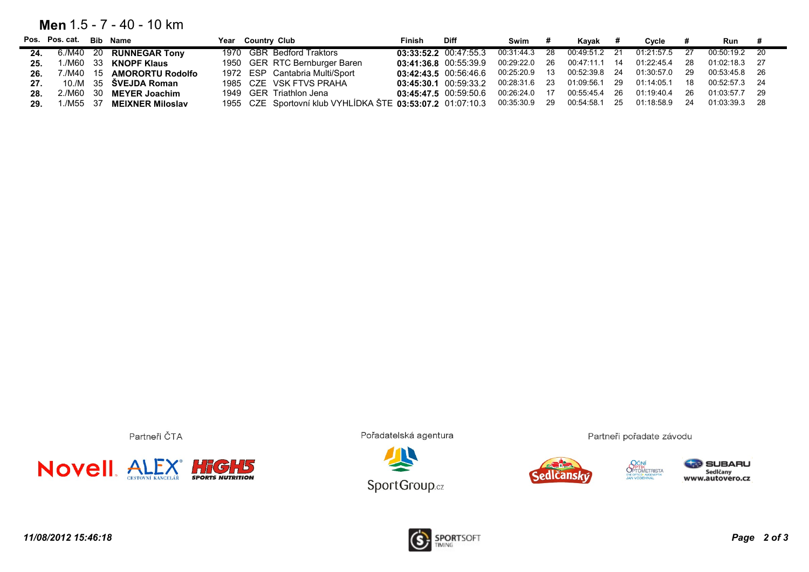#### **Men** 1.5 - 7 - 40 - 10 km

|     | Pos. Pos. cat. Bib Name |                                         | Year Country Club                                          | Finish | Diff                      | Swim          | Kavak                          |      | Cvcle         |      | Run #         |      |
|-----|-------------------------|-----------------------------------------|------------------------------------------------------------|--------|---------------------------|---------------|--------------------------------|------|---------------|------|---------------|------|
|     |                         | 24. 6./M40 20 RUNNEGAR Tony             | 1970 GBR Bedford Traktors                                  |        | $03:33:52.2$ $00:47:55.3$ |               | 00:31:44.3 28 00:49:51.2 21    |      | 01:21:57.5 27 |      | 00:50:19.2 20 |      |
|     |                         | <b>25.</b> 1./M60 33 <b>KNOPF Klaus</b> | 1950 GER RTC Bernburger Baren                              |        | $03:41:36.8$ $00:55:39.9$ |               | 00:29:22.0 26 00:47:11.1 14    |      | 01:22:45.4    | -28  | 01:02:18.3 27 |      |
| 26. |                         | 7./M40  15 <b>AMORORTU Rodolfo</b>      | 1972 ESP Cantabria Multi/Sport                             |        | $03:42:43.5$ $00:56:46.6$ |               | 00:25:20.9  13  00:52:39.8  24 |      | 01:30:57.0    | - 29 | 00:53:45.8 26 |      |
| 27. |                         | 10./M 35 <b>SVEJDA Roman</b>            | 1985 CZE VSK FTVS PRAHA                                    |        | $03:45:30.1$ $00:59:33.2$ |               | 00:28:31.6 23 01:09:56.1 29    |      | 01:14:05.1    | - 18 | 00:52:57.3 24 |      |
| 28. |                         | 2./M60 30 MEYER Joachim                 | 1949 GER Triathlon Jena                                    |        | $03:45:47.5$ $00:59:50.6$ | 00:26:24.0 17 | 00:55:45.4                     | - 26 | 01:19:40.4    | - 26 | 01:03:57.7 29 |      |
| 29. |                         | 1./M55 37 <b>MEIXNER Miloslav</b>       | 1955 CZE Sportovní klub VYHLÍDKA ŠTE 03:53:07.2 01:07:10.3 |        |                           | 00:35:30.9 29 | 00:54:58.1                     | - 25 | 01:18:58.9    | -24  | 01:03:39.3    | - 28 |

Partneři ČTA



Pořadatelská agentura





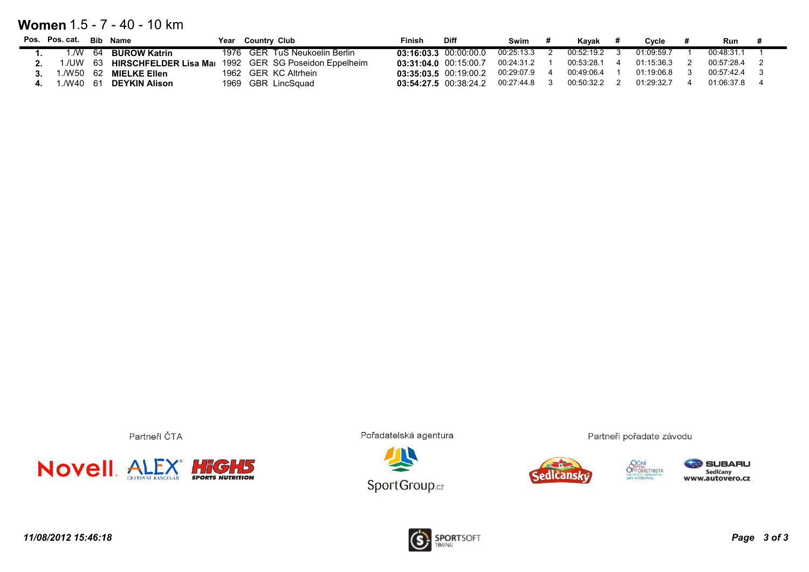### **Women** 1.5 - 7 - 40 - 10 km

| Pos. Pos. cat. | Bib Name                 | Year | <b>Country Club</b>            | Finish | <b>Diff</b>               | Swim         | Kavak      | Cycle      | Run        |  |
|----------------|--------------------------|------|--------------------------------|--------|---------------------------|--------------|------------|------------|------------|--|
| 1./W           | 64 BUROW Katrin          |      | 1976 GER TuS Neukoelin Berlin  |        | $03:16:03.3$ $00:00:00.0$ | 00:25:13.3   | 00:52:19.2 | 01:09:59.7 | 00:48:31.1 |  |
| ./UW           | 63 HIRSCHFELDER Lisa Mai |      | 1992 GER SG Poseidon Eppelheim |        | 03:31:04.0 00:15:00.7     | 00:24:31.2   | 00:53:28.1 | 01:15:36.3 | 00:57:28.4 |  |
|                | 1./W50 62 MIELKE Ellen   |      | 1962 GER KC Altrhein           |        | $03:35:03.5$ $00:19:00.2$ | 00:29:07.9   | 00:49:06.4 | 01:19:06.8 | 00:57:42.4 |  |
|                | 1./W40 61 DEYKIN Alison  |      | 1969 GBR LincSquad             |        | 03:54:27.5 00:38:24.2     | 00:27:44.8 3 | 00:50:32.2 | 01:29:32.7 | 01:06:37.8 |  |

Partneři ČTA



Pořadatelská agentura







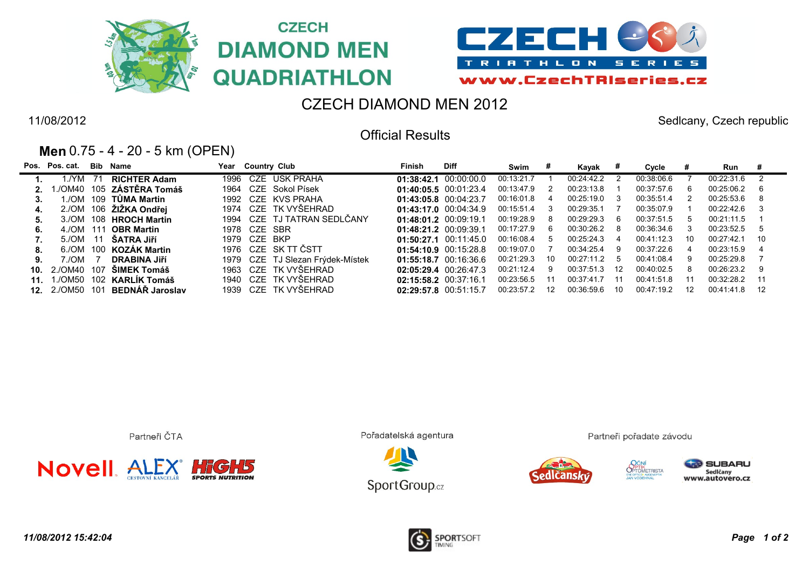





# CZECH DIAMOND MEN 2012

Official Results

11/08/2012 Sedlcany, Czech republic

### **Men** 0.75 - 4 - 20 - 5 km (OPEN)

|                 | Pos. Pos. cat.         |      | <b>Bib Name</b>          | Year |              | <b>Country Club</b>         | Finish                    | <b>Diff</b>               | Swim       |    | Kayak      |    | Cycle      |    | Run        |      |
|-----------------|------------------------|------|--------------------------|------|--------------|-----------------------------|---------------------------|---------------------------|------------|----|------------|----|------------|----|------------|------|
|                 | 1./YM                  | - 71 | <b>RICHTER Adam</b>      |      |              | 1996 CZE USK PRAHA          |                           | $01:38:42.1$ $00:00:00.0$ | 00:13:21.7 |    | 00:24:42.2 |    | 00:38:06.6 |    | 00:22:31.6 |      |
|                 |                        |      | ./OM40 105 ZÁSTĚRA Tomáš | 1964 |              | CZE Sokol Písek             |                           | 01:40:05.5 00:01:23.4     | 00:13:47.9 | -2 | 00:23:13.8 |    | 00:37:57.6 | 6  | 00:25:06.2 |      |
|                 | 1./OM                  |      | 109   TŮMA Martin        |      |              | 1992 CZE KVS PRAHA          |                           | 01:43:05.8 00:04:23.7     | 00:16:01.8 | -4 | 00:25:19.0 | -3 | 00:35:51.4 |    | 00:25:53.6 | 8    |
| 4.              |                        |      | 2./OM 106 ŽIŽKA Ondřej   |      |              | 1974 CZE TK VYŠEHRAD        |                           | $01:43:17.0$ $00:04:34.9$ | 00:15:51.4 | -3 | 00:29:35.1 |    | 00:35:07.9 |    | 00:22:42.6 |      |
|                 |                        |      | 3./OM 108 HROCH Martin   |      |              | 1994 CZE TJ TATRAN SEDLČANY | $01:48:01.2$ $00:09:19.1$ |                           | 00:19:28.9 | 8  | 00:29:29.3 | 6  | 00:37:51.5 | 5  | 00:21:11.5 |      |
| 6.              | 4./OM 111              |      | <b>OBR Martin</b>        | 1978 | CZE SBR      |                             | 01:48:21.2 00:09:39.1     |                           | 00:17:27.9 | -6 | 00:30:26.2 | -8 | 00:36:34.6 | 3  | 00:23:52.5 | -5   |
|                 | 5./OM 11               |      | ŠATRA Jiří               |      | 1979 CZE BKP |                             |                           | $01:50:27.1$ $00:11:45.0$ | 00:16:08.4 | -5 | 00:25:24.3 | 4  | 00:41:12.3 | 10 | 00:27:42.1 | - 10 |
| 8.              |                        |      | 6./OM 100 KOZAK Martin   |      |              | 1976 CZE SK TT ČSTT         |                           | $01:54:10.9$ $00:15:28.8$ | 00:19:07.0 |    | 00:34:25.4 | 9  | 00:37:22.6 |    | 00:23:15.9 |      |
|                 | 7./OM                  |      | <b>DRABINA JIří</b>      | 1979 |              | CZE TJ Slezan Frýdek-Místek |                           | 01:55:18.7 00:16:36.6     | 00:21:29.3 | 10 | 00:27:11.2 | -5 | 00:41:08.4 | 9  | 00:25:29.8 |      |
| 10.             | 2./OM40                | 107  | ŠIMEK Tomáš              | 1963 |              | CZE TK VYŠEHRAD             |                           | 02:05:29.4 00:26:47.3     | 00:21:12.4 | 9  | 00:37:51.3 | 12 | 00:40:02.5 | 8  | 00:26:23.2 | 9    |
| 11 <sub>1</sub> |                        |      | 1./OM50 102 KARLIK Tomáš |      |              | 1940 CZE TK VYŠEHRAD        | 02:15:58.2 00:37:16.1     |                           | 00:23:56.5 |    | 00:37:41.7 |    | 00:41:51.8 | 11 | 00.32.28.2 | 11   |
|                 | <b>12.</b> 2./OM50 101 |      | BEDNÁŘ Jaroslav          | 1939 |              | CZE TK VYŠEHRAD             | 02:29:57.8 00:51:15.7     |                           | 00:23:57.2 | 12 | 00:36:59.6 | 10 | 00:47:19.2 | 12 | 00:41:41.8 | 12   |

Partneři ČTA



Pořadatelská agentura



Partneři pořadate závodu



**SUBARU** Sedlčany<br>www.autovero.cz



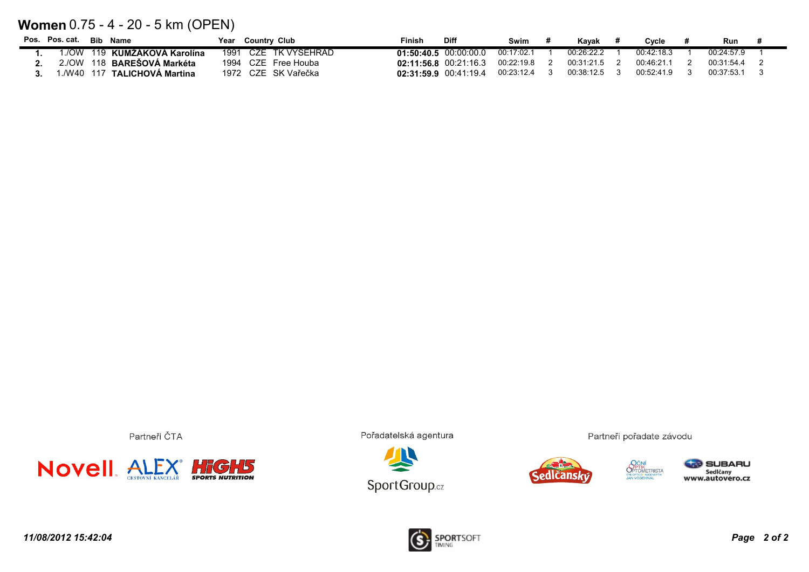## **Women** 0.75 - 4 - 20 - 5 km (OPEN)

| Pos. Pos. cat. | Bib Name                          | Year<br><b>Country Club</b> | <b>Diff</b><br>Finish            | Swim       | Kavak      | Cvcle      | Run        |  |
|----------------|-----------------------------------|-----------------------------|----------------------------------|------------|------------|------------|------------|--|
|                | 1./OW 119 KUMŻAKOVA Karolína      | 1991 CZE TK VYSEHRAD        | $01:50:40.5$ $00:00:00.0$        | 00:17:02.1 | 00:26:22.2 | 00:42:18.3 | 00:24:57.9 |  |
|                | 2./OW 118 <b>BARESOVA Markéta</b> | 1994 CZE Free Houba         | 02:11:56.8 00:21:16.3 00:22:19.8 |            | 00:31:21.5 | 00:46:21.1 | 00.31.544  |  |
|                | 1./W40 117 TALICHOVA Martina      | 1972 CZE SK Vařečka         | $02:31:59.9$ $00:41:19.4$        | 00:23:12.4 | 00:38:12.5 | 00:52:41.9 | 00.37.531  |  |

Partneři ČTA



Pořadatelská agentura





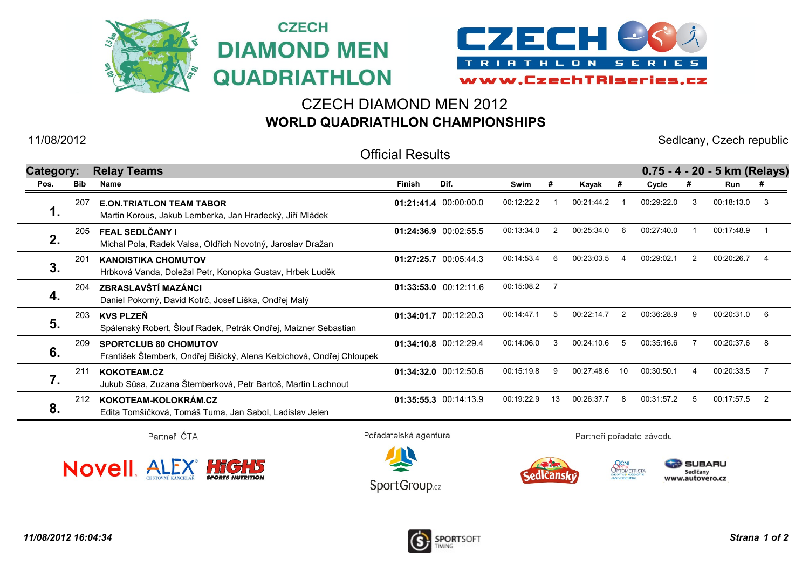



## CZECH DIAMOND MEN 2012 **WORLD QUADRIATHLON CHAMPIONSHIPS**

**CZECH** 

11/08/2012 Sedlcany, Czech republic

Official Results

| Category: |     | <b>Relay Teams</b>                                                                                    |        |                       |            |    |            |                    |            |    | 0.75 - 4 - 20 - 5 km (Relays) |     |
|-----------|-----|-------------------------------------------------------------------------------------------------------|--------|-----------------------|------------|----|------------|--------------------|------------|----|-------------------------------|-----|
| Pos.      | Bib | Name                                                                                                  | Finish | Dif.                  | Swim       | #  | Kayak      | $\boldsymbol{\pi}$ | Cycle      |    | Run                           | #   |
| 1.        | 207 | <b>E.ON.TRIATLON TEAM TABOR</b><br>Martin Korous, Jakub Lemberka, Jan Hradecký, Jiří Mládek           |        | 01:21:41.4 00:00:00.0 | 00:12:22.2 |    | 00:21:44.2 |                    | 00:29:22.0 | -3 | 00:18:13.0                    | -3  |
| 2.        | 205 | FEAL SEDLČANY I<br>Michal Pola, Radek Valsa, Oldřich Novotný, Jaroslav Dražan                         |        | 01:24:36.9 00:02:55.5 | 00:13:34.0 | 2  | 00:25:34.0 | 6                  | 00:27:40.0 |    | 00:17:48.9                    |     |
| 3.        | 201 | <b>KANOISTIKA CHOMUTOV</b><br>Hrbková Vanda, Doležal Petr, Konopka Gustav, Hrbek Luděk                |        | 01:27:25.7 00:05:44.3 | 00:14:53.4 | -6 | 00:23:03.5 |                    | 00:29:02.1 |    | 00:20:26.7                    |     |
| 4.        | 204 | ZBRASLAVŠTÍ MAZÁNCI<br>Daniel Pokorný, David Kotrč, Josef Liška, Ondřej Malý                          |        | 01:33:53.0 00:12:11.6 | 00:15:08.2 |    |            |                    |            |    |                               |     |
| 5.        | 203 | <b>KVS PLZEN</b><br>Spálenský Robert, Šlouf Radek, Petrák Ondřej, Maizner Sebastian                   |        | 01:34:01.7 00:12:20.3 | 00:14:47.1 | 5  | 00:22:14.7 | 2                  | 00:36:28.9 | 9  | 00:20:31.0                    | - 6 |
| 6.        | 209 | <b>SPORTCLUB 80 CHOMUTOV</b><br>František Štemberk, Ondřej Bišický, Alena Kelbichová, Ondřej Chloupek |        | 01:34:10.8 00:12:29.4 | 00:14:06.0 | 3  | 00:24:10.6 | -5                 | 00:35:16.6 |    | 00:20:37.6                    | -8  |
| 7.        | 211 | KOKOTEAM.CZ<br>Jukub Sůsa, Zuzana Štemberková, Petr Bartoš, Martin Lachnout                           |        | 01:34:32.0 00:12:50.6 | 00:15:19.8 | 9  | 00:27:48.6 | 10                 | 00:30:50.1 |    | 00:20:33.5                    |     |
| 8.        | 212 | KOKOTEAM-KOLOKRÁM.CZ<br>Edita Tomšíčková, Tomáš Tůma, Jan Sabol, Ladislav Jelen                       |        | 01:35:55.3 00:14:13.9 | 00:19:22.9 | 13 | 00:26:37.7 | -8                 | 00:31:57.2 |    | 00:17:57.5                    | -2  |
|           |     |                                                                                                       |        |                       |            |    |            |                    |            |    |                               |     |

Partneři ČTA



Pořadatelská agentura



Partneři pořadate závodu

dicans